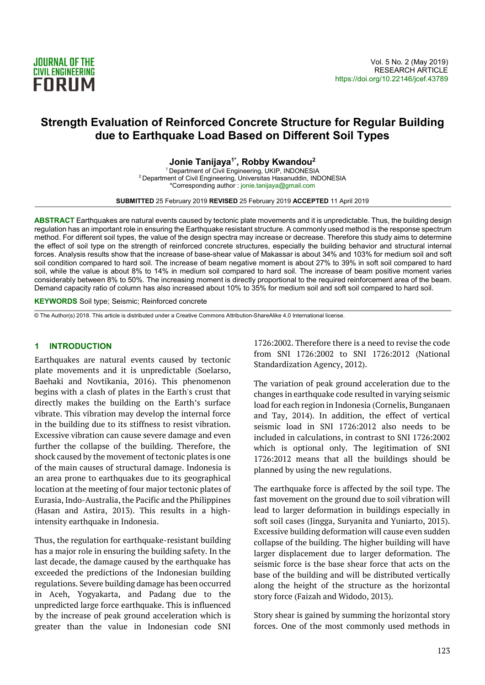

# Strength Evaluation of Reinforced Concrete Structure for Regular Building due to Earthquake Load Based on Different Soil Types

Jonie Tanijaya<sup>1\*</sup>, Robby Kwandou<sup>2</sup>

<sup>1</sup>Department of Civil Engineering, UKIP, INDONESIA <sup>2</sup>Department of Civil Engineering, Universitas Hasanuddin, INDONESIA \*Corresponding author : jonie.tanijaya@gmail.com

SUBMITTED 25 February 2019 REVISED 25 February 2019 ACCEPTED 11 April 2019

ABSTRACT Earthquakes are natural events caused by tectonic plate movements and it is unpredictable. Thus, the building design regulation has an important role in ensuring the Earthquake resistant structure. A commonly used method is the response spectrum method. For different soil types, the value of the design spectra may increase or decrease. Therefore this study aims to determine the effect of soil type on the strength of reinforced concrete structures, especially the building behavior and structural internal forces. Analysis results show that the increase of base-shear value of Makassar is about 34% and 103% for medium soil and soft soil condition compared to hard soil. The increase of beam negative moment is about 27% to 39% in soft soil compared to hard soil, while the value is about 8% to 14% in medium soil compared to hard soil. The increase of beam positive moment varies considerably between 8% to 50%. The increasing moment is directly proportional to the required reinforcement area of the beam. Demand capacity ratio of column has also increased about 10% to 35% for medium soil and soft soil compared to hard soil.

KEYWORDS Soil type; Seismic; Reinforced concrete

© The Author(s) 2018. This article is distributed under a Creative Commons Attribution-ShareAlike 4.0 International license.

#### 1 INTRODUCTION

Earthquakes are natural events caused by tectonic plate movements and it is unpredictable (Soelarso, Baehaki and Novtikania, 2016). This phenomenon begins with a clash of plates in the Earth's crust that directly makes the building on the Earth's surface vibrate. This vibration may develop the internal force in the building due to its stiffness to resist vibration. Excessive vibration can cause severe damage and even further the collapse of the building. Therefore, the shock caused by the movement of tectonic plates is one of the main causes of structural damage. Indonesia is an area prone to earthquakes due to its geographical location at the meeting of four major tectonic plates of Eurasia, Indo-Australia, the Pacific and the Philippines (Hasan and Astira, 2013). This results in a highintensity earthquake in Indonesia.

Thus, the regulation for earthquake-resistant building has a major role in ensuring the building safety. In the last decade, the damage caused by the earthquake has exceeded the predictions of the Indonesian building regulations. Severe building damage has been occurred in Aceh, Yogyakarta, and Padang due to the unpredicted large force earthquake. This is influenced by the increase of peak ground acceleration which is greater than the value in Indonesian code SNI 1726:2002. Therefore there is a need to revise the code from SNI 1726:2002 to SNI 1726:2012 (National Standardization Agency, 2012).

The variation of peak ground acceleration due to the changes in earthquake code resulted in varying seismic load for each region in Indonesia (Cornelis, Bunganaen and Tay, 2014). In addition, the effect of vertical seismic load in SNI 1726:2012 also needs to be included in calculations, in contrast to SNI 1726:2002 which is optional only. The legitimation of SNI 1726:2012 means that all the buildings should be planned by using the new regulations.

The earthquake force is affected by the soil type. The fast movement on the ground due to soil vibration will lead to larger deformation in buildings especially in soft soil cases (Jingga, Suryanita and Yuniarto, 2015). Excessive building deformation will cause even sudden collapse of the building. The higher building will have larger displacement due to larger deformation. The seismic force is the base shear force that acts on the base of the building and will be distributed vertically along the height of the structure as the horizontal story force (Faizah and Widodo, 2013).

Story shear is gained by summing the horizontal story forces. One of the most commonly used methods in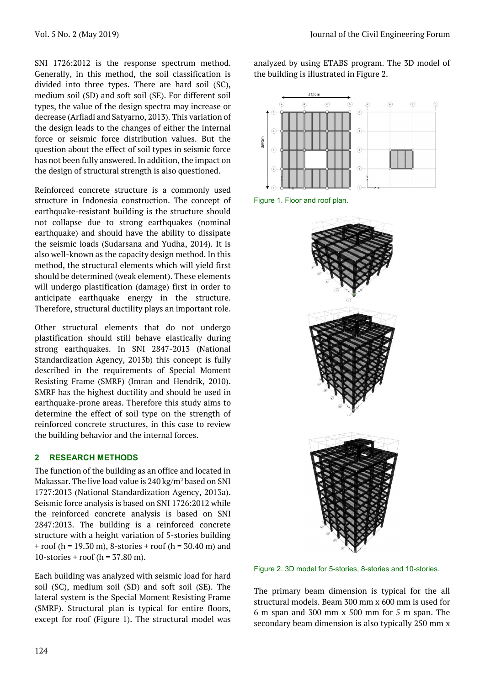SNI 1726:2012 is the response spectrum method. Generally, in this method, the soil classification is divided into three types. There are hard soil (SC), medium soil (SD) and soft soil (SE). For different soil types, the value of the design spectra may increase or decrease (Arfiadi and Satyarno, 2013). This variation of the design leads to the changes of either the internal force or seismic force distribution values. But the question about the effect of soil types in seismic force has not been fully answered. In addition, the impact on the design of structural strength is also questioned.

Reinforced concrete structure is a commonly used structure in Indonesia construction. The concept of earthquake-resistant building is the structure should not collapse due to strong earthquakes (nominal earthquake) and should have the ability to dissipate the seismic loads (Sudarsana and Yudha, 2014). It is also well-known as the capacity design method. In this method, the structural elements which will yield first should be determined (weak element). These elements will undergo plastification (damage) first in order to anticipate earthquake energy in the structure. Therefore, structural ductility plays an important role.

Other structural elements that do not undergo plastification should still behave elastically during strong earthquakes. In SNI 2847-2013 (National Standardization Agency, 2013b) this concept is fully described in the requirements of Special Moment Resisting Frame (SMRF) (Imran and Hendrik, 2010). SMRF has the highest ductility and should be used in earthquake-prone areas. Therefore this study aims to determine the effect of soil type on the strength of reinforced concrete structures, in this case to review the building behavior and the internal forces.

# 2 RESEARCH METHODS

The function of the building as an office and located in Makassar. The live load value is  $240\,\mathrm{kg/m^2}$  based on SNI 1727:2013 (National Standardization Agency, 2013a). Seismic force analysis is based on SNI 1726:2012 while the reinforced concrete analysis is based on SNI 2847:2013. The building is a reinforced concrete structure with a height variation of 5-stories building + roof (h = 19.30 m), 8-stories + roof (h =  $30.40$  m) and 10-stories + roof ( $h = 37.80$  m).

Each building was analyzed with seismic load for hard soil (SC), medium soil (SD) and soft soil (SE). The lateral system is the Special Moment Resisting Frame (SMRF). Structural plan is typical for entire floors, except for roof (Figure 1). The structural model was

analyzed by using ETABS program. The 3D model of the building is illustrated in Figure 2.







Figure 2. 3D model for 5-stories, 8-stories and 10-stories.

The primary beam dimension is typical for the all structural models. Beam 300 mm x 600 mm is used for 6 m span and 300 mm x 500 mm for 5 m span. The secondary beam dimension is also typically 250 mm x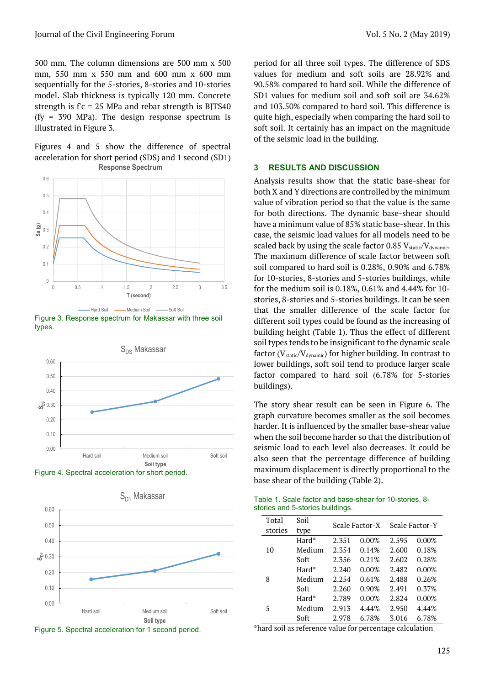500 mm. The column dimensions are 500 mm x 500 mm, 550 mm x 550 mm and 600 mm x 600 mm sequentially for the 5-stories, 8-stories and 10-stories model. Slab thickness is typically 120 mm. Concrete strength is  $fc = 25$  MPa and rebar strength is BJTS40 (fy = 390 MPa). The design response spectrum is illustrated in Figure 3.

Figures 4 and 5 show the difference of spectral acceleration for short period (SDS) and 1 second (SD1) Response Spectrum



Figure 3. Response spectrum for Makassar with three soil types.









period for all three soil types. The difference of SDS values for medium and soft soils are 28.92% and 90.58% compared to hard soil. While the difference of SD1 values for medium soil and soft soil are 34.62% and 103.50% compared to hard soil. This difference is quite high, especially when comparing the hard soil to soft soil. It certainly has an impact on the magnitude of the seismic load in the building.

#### 3 RESULTS AND DISCUSSION

Analysis results show that the static base-shear for both X and Y directions are controlled by the minimum value of vibration period so that the value is the same for both directions. The dynamic base-shear should have a minimum value of 85% static base-shear. In this case, the seismic load values for all models need to be scaled back by using the scale factor 0.85  $V_{\text{static}}/V_{\text{dynamic}}$ . The maximum difference of scale factor between soft soil compared to hard soil is 0.28%, 0.90% and 6.78% for 10-stories, 8-stories and 5-stories buildings, while for the medium soil is 0.18%, 0.61% and 4.44% for 10 stories, 8-stories and 5-stories buildings. It can be seen that the smaller difference of the scale factor for different soil types could be found as the increasing of building height (Table 1). Thus the effect of different soil types tends to be insignificant to the dynamic scale factor ( $V_{static}/V_{dynamic}$ ) for higher building. In contrast to lower buildings, soft soil tend to produce larger scale factor compared to hard soil (6.78% for 5-stories buildings). Shift and 6000 mm x and 6000 mm x and 1000 mm x and 1000 mm x and 1000 mm x and 1000 mm x and 1000 mm x and 1000 mm x and 1000 mm and soft software of software and 10.5 Sex (g) = 30 MPa). The design response spectrum is q The maximum difference of scale factor OSS V<sub>anteri</sub>ng, software and the soft soil to the solution of the solution of the maximum difference of scale factor between soft soil to the medium soil is 0.18%, 0.61% and 4.44% f

The story shear result can be seen in Figure 6. The graph curvature becomes smaller as the soil becomes harder. It is influenced by the smaller base-shear value when the soil become harder so that the distribution of seismic load to each level also decreases. It could be also seen that the percentage difference of building maximum displacement is directly proportional to the base shear of the building (Table 2).

| Table 1. Scale factor and base-shear for 10-stories, 8- |  |
|---------------------------------------------------------|--|
| stories and 5-stories buildings.                        |  |

| Total   | Soil   |       | Scale Factor-X | Scale Factor-Y |          |
|---------|--------|-------|----------------|----------------|----------|
| stories | type   |       |                |                |          |
|         | Hard*  | 2.351 | 0.00%          | 2.595          | $0.00\%$ |
| 10      | Medium | 2.354 | 0.14%          | 2.600          | 0.18%    |
|         | Soft   | 2.356 | 0.21%          | 2.602          | 0.28%    |
|         | Hard*  | 2.240 | 0.00%          | 2.482          | $0.00\%$ |
| 8       | Medium | 2.254 | 0.61%          | 2.488          | 0.26%    |
|         | Soft   | 2.260 | 0.90%          | 2.491          | 0.37%    |
|         | Hard*  | 2.789 | 0.00%          | 2.824          | $0.00\%$ |
| 5       | Medium | 2.913 | 4.44%          | 2.950          | 4.44%    |
|         | Soft   | 2.978 | 6.78%          | 3.016          | 6.78%    |

\*hard soil as reference value for percentage calculation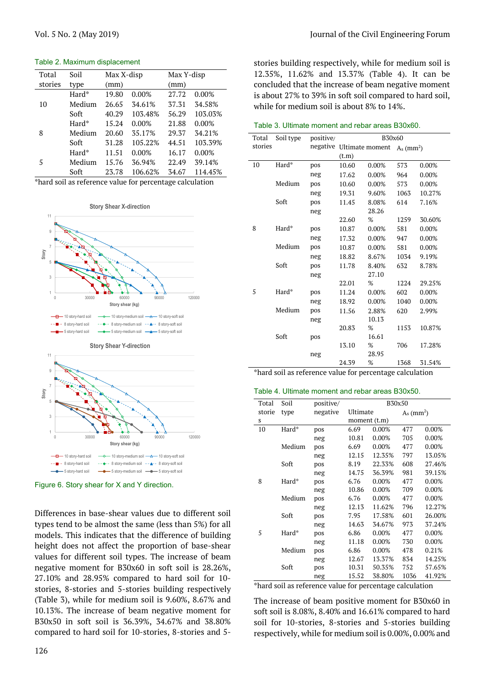Table 2. Maximum displacement

| Total   | Soil   | Max X-disp |         | Max Y-disp |          |
|---------|--------|------------|---------|------------|----------|
| stories | type   | (mm)       |         | (mm)       |          |
|         | Hard*  | 19.80      | 0.00%   | 27.72      | 0.00%    |
| 10      | Medium | 26.65      | 34.61%  | 37.31      | 34.58%   |
|         | Soft   | 40.29      | 103.48% | 56.29      | 103.03%  |
|         | Hard*  | 15.24      | 0.00%   | 21.88      | $0.00\%$ |
| 8       | Medium | 20.60      | 35.17%  | 29.37      | 34.21%   |
|         | Soft   | 31.28      | 105.22% | 44.51      | 103.39%  |
|         | Hard*  | 11.51      | 0.00%   | 16.17      | $0.00\%$ |
| 5       | Medium | 15.76      | 36.94%  | 22.49      | 39.14%   |
|         | Soft   | 23.78      | 106.62% | 34.67      | 114.45%  |







Figure 6. Story shear for X and Y direction.

Differences in base-shear values due to different soil types tend to be almost the same (less than 5%) for all models. This indicates that the difference of building height does not affect the proportion of base-shear values for different soil types. The increase of beam negative moment for B30x60 in soft soil is 28.26%, 27.10% and 28.95% compared to hard soil for 10 stories, 8-stories and 5-stories building respectively (Table 3), while for medium soil is 9.60%, 8.67% and 10.13%. The increase of beam negative moment for B30x50 in soft soil is 36.39%, 34.67% and 38.80% compared to hard soil for 10-stories, 8-stories and 5stories building respectively, while for medium soil is 12.35%, 11.62% and 13.37% (Table 4). It can be concluded that the increase of beam negative moment is about 27% to 39% in soft soil compared to hard soil, while for medium soil is about 8% to 14%.

| Table 3. Ultimate moment and rebar areas B30x60. |  |  |  |  |  |
|--------------------------------------------------|--|--|--|--|--|
|--------------------------------------------------|--|--|--|--|--|

| tories           | type                                       | (mm)                           |                                                                                                      | (mm)  |         |                                                         |                                                          |           |          |                                                   |                          | concluded that the increase of beam negative moment |
|------------------|--------------------------------------------|--------------------------------|------------------------------------------------------------------------------------------------------|-------|---------|---------------------------------------------------------|----------------------------------------------------------|-----------|----------|---------------------------------------------------|--------------------------|-----------------------------------------------------|
|                  | Hard*                                      | 19.80                          | 0.00%                                                                                                | 27.72 | 0.00%   | is about 27% to 39% in soft soil compared to hard soil, |                                                          |           |          |                                                   |                          |                                                     |
| $\boldsymbol{0}$ | Medium                                     | 26.65                          | 34.61%                                                                                               | 37.31 | 34.58%  |                                                         | while for medium soil is about 8% to 14%.                |           |          |                                                   |                          |                                                     |
|                  | Soft                                       | 40.29                          | 103.48%                                                                                              | 56.29 | 103.03% |                                                         |                                                          |           |          |                                                   |                          |                                                     |
|                  | Hard*                                      | 15.24                          | 0.00%                                                                                                | 21.88 | 0.00%   |                                                         | Table 3. Ultimate moment and rebar areas B30x60.         |           |          |                                                   |                          |                                                     |
|                  | Medium                                     | 20.60                          | 35.17%                                                                                               | 29.37 | 34.21%  | Total                                                   | Soil type                                                | positive/ |          | B30x60                                            |                          |                                                     |
|                  | Soft                                       | 31.28                          | 105.22%                                                                                              | 44.51 | 103.39% | stories                                                 |                                                          |           |          | negative Ultimate moment $A_s$ (mm <sup>2</sup> ) |                          |                                                     |
|                  | Hard*                                      | 11.51                          | 0.00%                                                                                                | 16.17 | 0.00%   |                                                         |                                                          |           | (t.m)    |                                                   |                          |                                                     |
|                  | Medium                                     | 15.76                          | 36.94%                                                                                               | 22.49 | 39.14%  | 10                                                      | Hard*                                                    | pos       | 10.60    | 0.00%                                             | 573                      | 0.00%                                               |
|                  | Soft                                       | 23.78                          | 106.62%                                                                                              | 34.67 | 114.45% |                                                         |                                                          | neg       | 17.62    | 0.00%                                             | 964                      | 0.00%                                               |
|                  |                                            |                                | ard soil as reference value for percentage calculation                                               |       |         |                                                         | Medium                                                   | pos       | 10.60    | 0.00%                                             | 573                      | 0.00%                                               |
|                  |                                            |                                |                                                                                                      |       |         |                                                         |                                                          | neg       | 19.31    | 9.60%                                             | 1063                     | 10.27%                                              |
|                  |                                            |                                |                                                                                                      |       |         |                                                         | Soft                                                     | pos       | 11.45    | 8.08%                                             | 614                      | 7.16%                                               |
|                  |                                            | <b>Story Shear X-direction</b> |                                                                                                      |       |         |                                                         |                                                          | neg       |          | 28.26                                             |                          |                                                     |
| 11               |                                            |                                |                                                                                                      |       |         |                                                         |                                                          |           | 22.60    | %                                                 | 1259                     | 30.60%                                              |
| 9                |                                            |                                |                                                                                                      |       |         | 8                                                       | Hard*                                                    | pos       | 10.87    | 0.00%                                             | 581                      | 0.00%                                               |
|                  |                                            |                                |                                                                                                      |       |         |                                                         |                                                          | neg       | 17.32    | 0.00%                                             | 947                      | $0.00\%$                                            |
|                  |                                            |                                |                                                                                                      |       |         |                                                         | Medium                                                   | pos       | 10.87    | 0.00%                                             | 581                      | $0.00\%$                                            |
| Story            |                                            |                                |                                                                                                      |       |         |                                                         |                                                          | neg       | 18.82    | 8.67%                                             | 1034                     | 9.19%                                               |
|                  |                                            |                                |                                                                                                      |       |         |                                                         | Soft                                                     | pos       | 11.78    | 8.40%                                             | 632                      | 8.78%                                               |
| 3                |                                            |                                |                                                                                                      |       |         |                                                         |                                                          | neg       |          | 27.10                                             |                          |                                                     |
|                  |                                            |                                |                                                                                                      |       |         |                                                         |                                                          |           | 22.01    | $\%$                                              | 1224                     | 29.25%                                              |
|                  |                                            |                                |                                                                                                      |       |         | 5                                                       | Hard*                                                    | pos       | 11.24    | 0.00%                                             | 602                      | 0.00%                                               |
| $\mathbb O$      | 30000                                      | 60000<br>Story shear (kg)      | 90000                                                                                                |       | 120000  |                                                         |                                                          | neg       | 18.92    | 0.00%                                             | 1040                     | 0.00%                                               |
|                  |                                            |                                |                                                                                                      |       |         |                                                         | Medium                                                   | pos       | 11.56    | 2.88%                                             | 620                      | 2.99%                                               |
|                  | - 10 story-hard soil<br>8 story-hard soil  |                                | - 10 story-medium soil - A - 10 story-soft soil<br>-- +- 8 story-medium soil -- +- 8 story-soft soil |       |         |                                                         |                                                          | neg       |          | 10.13                                             |                          |                                                     |
|                  | - 5 story-hard soil                        |                                | - 5 story-medium soil - + 5 story-soft soil                                                          |       |         |                                                         |                                                          |           | 20.83    | %                                                 | 1153                     | 10.87%                                              |
|                  |                                            |                                |                                                                                                      |       |         |                                                         | Soft                                                     | pos       |          | 16.61                                             |                          |                                                     |
|                  |                                            | <b>Story Shear Y-direction</b> |                                                                                                      |       |         |                                                         |                                                          |           | 13.10    | %                                                 | 706                      | 17.28%                                              |
| 11               |                                            |                                |                                                                                                      |       |         |                                                         |                                                          | neg       |          | 28.95                                             |                          |                                                     |
| $\boldsymbol{9}$ |                                            |                                |                                                                                                      |       |         |                                                         |                                                          |           | 24.39    | %                                                 | 1368                     | 31.54%                                              |
|                  |                                            |                                |                                                                                                      |       |         |                                                         | *hard soil as reference value for percentage calculation |           |          |                                                   |                          |                                                     |
| Story            |                                            |                                |                                                                                                      |       |         |                                                         | Table 4. Ultimate moment and rebar areas B30x50.         |           |          |                                                   |                          |                                                     |
|                  |                                            |                                |                                                                                                      |       |         | Total                                                   | Soil                                                     | positive/ |          |                                                   | B30x50                   |                                                     |
| $\sqrt{3}$       |                                            |                                |                                                                                                      |       |         | storie                                                  | type                                                     | negative  | Ultimate |                                                   | $A_s$ (mm <sup>2</sup> ) |                                                     |
|                  |                                            |                                |                                                                                                      |       |         | S                                                       |                                                          |           |          | moment (t.m)                                      |                          |                                                     |
|                  |                                            |                                |                                                                                                      |       |         | 10                                                      | Hard*                                                    | pos       | 6.69     | 0.00%                                             | 477                      | 0.00%                                               |
| $\mathbb O$      | 30000                                      | 60000<br>Story shear (kg)      | 90000                                                                                                |       | 120000  |                                                         |                                                          | neg       | 10.81    | 0.00%                                             | 705                      | 0.00%                                               |
|                  |                                            |                                |                                                                                                      |       |         |                                                         | Medium                                                   | pos       | 6.69     | 0.00%                                             | 477                      | 0.00%                                               |
|                  | - 10 story-hard soil                       |                                | - 10 story-medium soil -A - 10 story-soft soil                                                       |       |         |                                                         |                                                          | neg       | 12.15    | 12.35%                                            | 797                      | 13.05%                                              |
|                  | - 8 story-hard soil<br>- 5 story-hard soil |                                | → 8 story-medium soil - - ▲ - 8 story-soft soil<br>- 5 story-medium soil -- 5 story-soft soil        |       |         |                                                         | Soft                                                     | pos       | 8.19     | 22.33%                                            | 608                      | 27.46%                                              |
|                  |                                            |                                |                                                                                                      |       |         |                                                         |                                                          | neg       | 14.75    | 36.39%                                            | 981                      | 39.15%                                              |
|                  |                                            |                                | qure 6. Story shear for X and Y direction.                                                           |       |         | 8                                                       | Hard*                                                    | pos       | 6.76     | 0.00%                                             | 477                      | 0.00%                                               |

#### Table 4. Ultimate moment and rebar areas B30x50.

| Total  | Soil   | positive/ |          | B30x50       |                          |        |  |  |
|--------|--------|-----------|----------|--------------|--------------------------|--------|--|--|
| storie | type   | negative  | Ultimate |              | $A_s$ (mm <sup>2</sup> ) |        |  |  |
| S      |        |           |          | moment (t.m) |                          |        |  |  |
| 10     | Hard*  | pos       | 6.69     | 0.00%        | 477                      | 0.00%  |  |  |
|        |        | neg       | 10.81    | 0.00%        | 705                      | 0.00%  |  |  |
|        | Medium | pos       | 6.69     | 0.00%        | 477                      | 0.00%  |  |  |
|        |        | neg       | 12.15    | 12.35%       | 797                      | 13.05% |  |  |
|        | Soft   | pos       | 8.19     | 22.33%       | 608                      | 27.46% |  |  |
|        |        | neg       | 14.75    | 36.39%       | 981                      | 39.15% |  |  |
| 8      | Hard*  | pos       | 6.76     | 0.00%        | 477                      | 0.00%  |  |  |
|        |        | neg       | 10.86    | 0.00%        | 709                      | 0.00%  |  |  |
|        | Medium | pos       | 6.76     | 0.00%        | 477                      | 0.00%  |  |  |
|        |        | neg       | 12.13    | 11.62%       | 796                      | 12.27% |  |  |
|        | Soft   | pos       | 7.95     | 17.58%       | 601                      | 26.00% |  |  |
|        |        | neg       | 14.63    | 34.67%       | 973                      | 37.24% |  |  |
| 5      | Hard*  | pos       | 6.86     | 0.00%        | 477                      | 0.00%  |  |  |
|        |        | neg       | 11.18    | 0.00%        | 730                      | 0.00%  |  |  |
|        | Medium | pos       | 6.86     | 0.00%        | 478                      | 0.21%  |  |  |
|        |        | neg       | 12.67    | 13.37%       | 834                      | 14.25% |  |  |
|        | Soft   | pos       | 10.31    | 50.35%       | 752                      | 57.65% |  |  |
|        |        | neg       | 15.52    | 38.80%       | 1036                     | 41.92% |  |  |

\*hard soil as reference value for percentage calculation

The increase of beam positive moment for B30x60 in soft soil is 8.08%, 8.40% and 16.61% compared to hard soil for 10-stories, 8-stories and 5-stories building respectively, while for medium soil is 0.00%, 0.00% and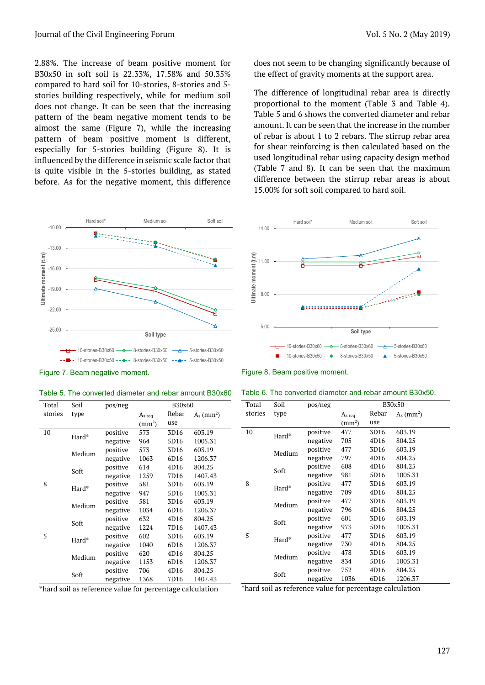#### Journal of the Civil Engineering Forum Vol. 5 No. 2 (May 2019)

2.88%. The increase of beam positive moment for B30x50 in soft soil is 22.33%, 17.58% and 50.35% compared to hard soil for 10-stories, 8-stories and 5 stories building respectively, while for medium soil does not change. It can be seen that the increasing pattern of the beam negative moment tends to be almost the same (Figure 7), while the increasing pattern of beam positive moment is different, especially for 5-stories building (Figure 8). It is influenced by the difference in seismic scale factor that is quite visible in the 5-stories building, as stated before. As for the negative moment, this difference Numal of the Civil Engineering Forum<br>
SS%. The increase of beam positive moment for<br>
does not seem to be changing significantly because of<br>
SOKSO in soft soil is 22.35%, 17.58% and 50.35%<br>
the effect of gravity moments at



does not seem to be changing significantly because of the effect of gravity moments at the support area.

The difference of longitudinal rebar area is directly proportional to the moment (Table 3 and Table 4). Table 5 and 6 shows the converted diameter and rebar amount. It can be seen that the increase in the number of rebar is about 1 to 2 rebars. The stirrup rebar area for shear reinforcing is then calculated based on the used longitudinal rebar using capacity design method (Table 7 and 8). It can be seen that the maximum difference between the stirrup rebar areas is about 15.00% for soft soil compared to hard soil. Vol. 5 No. 2 (May 2019)<br>
does not seem to be changing significantly because of<br>
the effect of gravity moments at the support area.<br>
The difference of longitudinal rebar area is directly<br>
proportional to the moment (Table



Figure 7. Beam negative moment.

|  |  | Table 5. The converted diameter and rebar amount B30x60 |
|--|--|---------------------------------------------------------|
|--|--|---------------------------------------------------------|

| Total   | Soil   | pos/neg  | B30x60             |       |                          |  |
|---------|--------|----------|--------------------|-------|--------------------------|--|
| stories | type   |          | As reg             | Rebar | $A_s$ (mm <sup>2</sup> ) |  |
|         |        |          | (mm <sup>2</sup> ) | use   |                          |  |
| 10      | Hard*  | positive | 573                | 3D16  | 603.19                   |  |
|         |        | negative | 964                | 5D16  | 1005.31                  |  |
|         | Medium | positive | 573                | 3D16  | 603.19                   |  |
|         |        | negative | 1063               | 6D16  | 1206.37                  |  |
|         | Soft   | positive | 614                | 4D16  | 804.25                   |  |
|         |        | negative | 1259               | 7D16  | 1407.43                  |  |
| 8       | Hard*  | positive | 581                | 3D16  | 603.19                   |  |
|         |        | negative | 947                | 5D16  | 1005.31                  |  |
|         | Medium | positive | 581                | 3D16  | 603.19                   |  |
|         |        | negative | 1034               | 6D16  | 1206.37                  |  |
|         | Soft   | positive | 632                | 4D16  | 804.25                   |  |
|         |        | negative | 1224               | 7D16  | 1407.43                  |  |
| 5       | Hard*  | positive | 602                | 3D16  | 603.19                   |  |
|         |        | negative | 1040               | 6D16  | 1206.37                  |  |
|         | Medium | positive | 620                | 4D16  | 804.25                   |  |
|         |        | negative | 1153               | 6D16  | 1206.37                  |  |
|         | Soft   | positive | 706                | 4D16  | 804.25                   |  |
|         |        | negative | 1368               | 7D16  | 1407.43                  |  |

Figure 8. Beam positive moment.

| Table 6. The converted diameter and rebar amount B30x50. |  |  |
|----------------------------------------------------------|--|--|
|----------------------------------------------------------|--|--|

| Total   | Soil   | pos/neg  | B30x50             |       |                          |  |  |
|---------|--------|----------|--------------------|-------|--------------------------|--|--|
| stories | type   |          | As reg             | Rebar | $A_s$ (mm <sup>2</sup> ) |  |  |
|         |        |          | (mm <sup>2</sup> ) | use   |                          |  |  |
| 10      | Hard*  | positive | 477                | 3D16  | 603.19                   |  |  |
|         |        | negative | 705                | 4D16  | 804.25                   |  |  |
|         | Medium | positive | 477                | 3D16  | 603.19                   |  |  |
|         |        | negative | 797                | 4D16  | 804.25                   |  |  |
|         | Soft   | positive | 608                | 4D16  | 804.25                   |  |  |
|         |        | negative | 981                | 5D16  | 1005.31                  |  |  |
| 8       | Hard*  | positive | 477                | 3D16  | 603.19                   |  |  |
|         |        | negative | 709                | 4D16  | 804.25                   |  |  |
|         | Medium | positive | 477                | 3D16  | 603.19                   |  |  |
|         |        | negative | 796                | 4D16  | 804.25                   |  |  |
|         | Soft   | positive | 601                | 3D16  | 603.19                   |  |  |
|         |        | negative | 973                | 5D16  | 1005.31                  |  |  |
| 5       | Hard*  | positive | 477                | 3D16  | 603.19                   |  |  |
|         |        | negative | 730                | 4D16  | 804.25                   |  |  |
|         | Medium | positive | 478                | 3D16  | 603.19                   |  |  |
|         |        | negative | 834                | 5D16  | 1005.31                  |  |  |
|         | Soft   | positive | 752                | 4D16  | 804.25                   |  |  |
|         |        | negative | 1036               | 6D16  | 1206.37                  |  |  |

\*hard soil as reference value for percentage calculation

\*hard soil as reference value for percentage calculation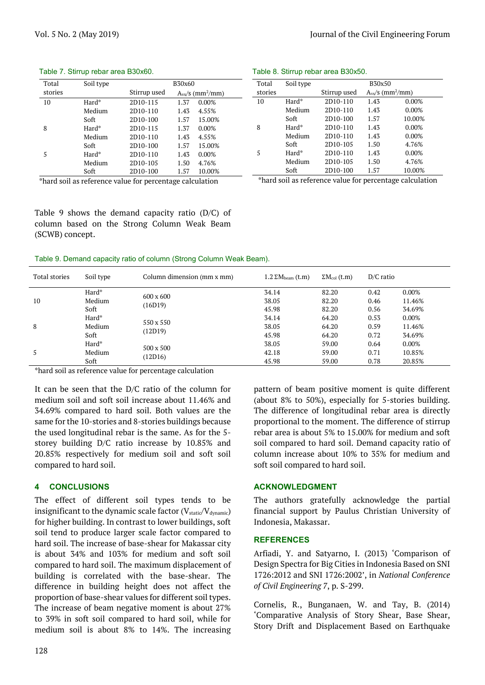| Total   | Soil type | B30x60                |                               |  |  |  |
|---------|-----------|-----------------------|-------------------------------|--|--|--|
| stories |           | Stirrup used          | $Avs/s$ (mm <sup>2</sup> /mm) |  |  |  |
| 10      | Hard*     | 2D10-115              | 0.00%<br>1.37                 |  |  |  |
|         | Medium    | 2D <sub>10</sub> -110 | 4.55%<br>1.43                 |  |  |  |
|         | Soft      | 2D <sub>10</sub> -100 | 1.57<br>15.00%                |  |  |  |
| 8       | Hard*     | 2D <sub>10</sub> -115 | $0.00\%$<br>1.37              |  |  |  |
|         | Medium    | 2D <sub>10</sub> -110 | 4.55%<br>1.43                 |  |  |  |
|         | Soft      | 2D <sub>10</sub> -100 | 15.00%<br>1.57                |  |  |  |
| 5       | Hard*     | 2D10-110              | 0.00%<br>1.43                 |  |  |  |
|         | Medium    | 2D <sub>10</sub> -105 | 1.50<br>4.76%                 |  |  |  |
|         | Soft      | 2D10-100              | 10.00%<br>1.57                |  |  |  |

#### Table 7. Stirrup rebar area B30x60.

\*hard soil as reference value for percentage calculation

Table 9 shows the demand capacity ratio (D/C) of column based on the Strong Column Weak Beam (SCWB) concept.

Table 9. Demand capacity ratio of column (Strong Column Weak Beam).

| Total stories | Soil type | Column dimension (mm x mm) | $1.2$ $\Sigma$ M <sub>beam</sub> (t.m) | $\Sigma M_{col}$ (t.m) | $D/C$ ratio |          |
|---------------|-----------|----------------------------|----------------------------------------|------------------------|-------------|----------|
|               | Hard*     | $600 \times 600$           | 34.14                                  | 82.20                  | 0.42        | $0.00\%$ |
| 10            | Medium    | (16D19)                    | 38.05                                  | 82.20                  | 0.46        | 11.46%   |
| Soft          |           | 45.98                      | 82.20                                  | 0.56                   | 34.69%      |          |
| Hard*         | 550 x 550 | 34.14                      | 64.20                                  | 0.53                   | $0.00\%$    |          |
| 8             | Medium    |                            | 38.05                                  | 64.20                  | 0.59        | 11.46%   |
|               | Soft      | (12D19)                    | 45.98                                  | 64.20                  | 0.72        | 34.69%   |
|               | Hard*     |                            | 38.05                                  | 59.00                  | 0.64        | $0.00\%$ |
|               | Medium    | 500 x 500                  | 42.18                                  | 59.00                  | 0.71        | 10.85%   |
|               | Soft      | (12D16)                    | 45.98                                  | 59.00                  | 0.78        | 20.85%   |

\*hard soil as reference value for percentage calculation

It can be seen that the D/C ratio of the column for medium soil and soft soil increase about 11.46% and 34.69% compared to hard soil. Both values are the same for the 10-stories and 8-stories buildings because the used longitudinal rebar is the same. As for the 5 storey building D/C ratio increase by 10.85% and 20.85% respectively for medium soil and soft soil compared to hard soil.

### 4 CONCLUSIONS

The effect of different soil types tends to be insignificant to the dynamic scale factor  $(V_{static}/V_{dynamic})$ for higher building. In contrast to lower buildings, soft soil tend to produce larger scale factor compared to hard soil. The increase of base-shear for Makassar city is about 34% and 103% for medium and soft soil compared to hard soil. The maximum displacement of building is correlated with the base-shear. The difference in building height does not affect the proportion of base-shear values for different soil types. The increase of beam negative moment is about 27% to 39% in soft soil compared to hard soil, while for medium soil is about 8% to 14%. The increasing

pattern of beam positive moment is quite different (about 8% to 50%), especially for 5-stories building. The difference of longitudinal rebar area is directly proportional to the moment. The difference of stirrup rebar area is about 5% to 15.00% for medium and soft soil compared to hard soil. Demand capacity ratio of column increase about 10% to 35% for medium and soft soil compared to hard soil.

#### ACKNOWLEDGMENT

The authors gratefully acknowledge the partial financial support by Paulus Christian University of Indonesia, Makassar.

## **REFERENCES**

Arfiadi, Y. and Satyarno, I. (2013) 'Comparison of Design Spectra for Big Cities in Indonesia Based on SNI 1726:2012 and SNI 1726:2002', in National Conference of Civil Engineering 7, p. S-299.

Cornelis, R., Bunganaen, W. and Tay, B. (2014) 'Comparative Analysis of Story Shear, Base Shear, Story Drift and Displacement Based on Earthquake

\*hard soil as reference value for percentage calculation

Total stories Soil type B30x50 Stirrup used  $A_{vs}/s$  (mm<sup>2</sup>/mm) 10 Hard\* 2D10-110 1.43 0.00% Medium 2D10-110 1.43 0.00% Soft 2D10-100 1.57 10.00% 8 Hard\* 2D10-110 1.43 0.00% Medium 2D10-110 1.43 0.00% Soft 2D10-105 1.50 4.76% 5 Hard\* 2D10-110 1.43 0.00% Medium 2D10-105 1.50 4.76% Soft 2D10-100 1.57 10.00%

Table 8. Stirrup rebar area B30x50.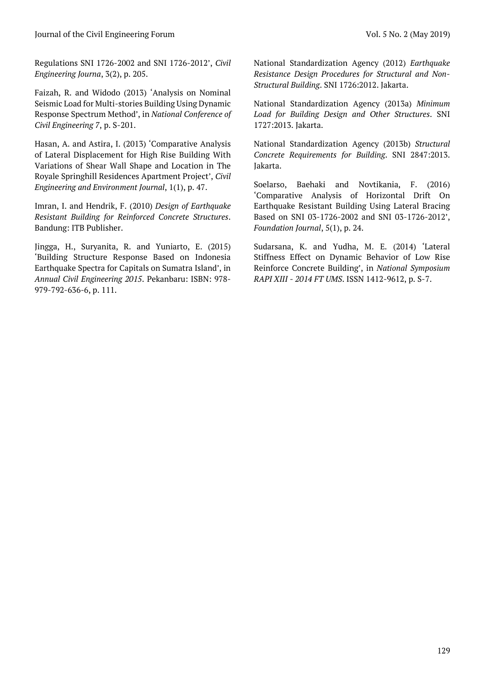Regulations SNI 1726-2002 and SNI 1726-2012', Civil Engineering Journa, 3(2), p. 205.

Faizah, R. and Widodo (2013) 'Analysis on Nominal Seismic Load for Multi-stories Building Using Dynamic Response Spectrum Method', in National Conference of Civil Engineering 7, p. S-201.

Hasan, A. and Astira, I. (2013) 'Comparative Analysis of Lateral Displacement for High Rise Building With Variations of Shear Wall Shape and Location in The Royale Springhill Residences Apartment Project', Civil Engineering and Environment Journal, 1(1), p. 47.

Imran, I. and Hendrik, F. (2010) Design of Earthquake Resistant Building for Reinforced Concrete Structures. Bandung: ITB Publisher.

Jingga, H., Suryanita, R. and Yuniarto, E. (2015) 'Building Structure Response Based on Indonesia Earthquake Spectra for Capitals on Sumatra Island', in Annual Civil Engineering 2015. Pekanbaru: ISBN: 978- 979-792-636-6, p. 111.

National Standardization Agency (2012) Earthquake Resistance Design Procedures for Structural and Non-Structural Building. SNI 1726:2012. Jakarta.

National Standardization Agency (2013a) Minimum Load for Building Design and Other Structures. SNI 1727:2013. Jakarta.

National Standardization Agency (2013b) Structural Concrete Requirements for Building. SNI 2847:2013. Jakarta.

Soelarso, Baehaki and Novtikania, F. (2016) 'Comparative Analysis of Horizontal Drift On Earthquake Resistant Building Using Lateral Bracing Based on SNI 03-1726-2002 and SNI 03-1726-2012', Foundation Journal, 5(1), p. 24.

Sudarsana, K. and Yudha, M. E. (2014) 'Lateral Stiffness Effect on Dynamic Behavior of Low Rise Reinforce Concrete Building', in National Symposium RAPI XIII - 2014 FT UMS. ISSN 1412-9612, p. S-7.